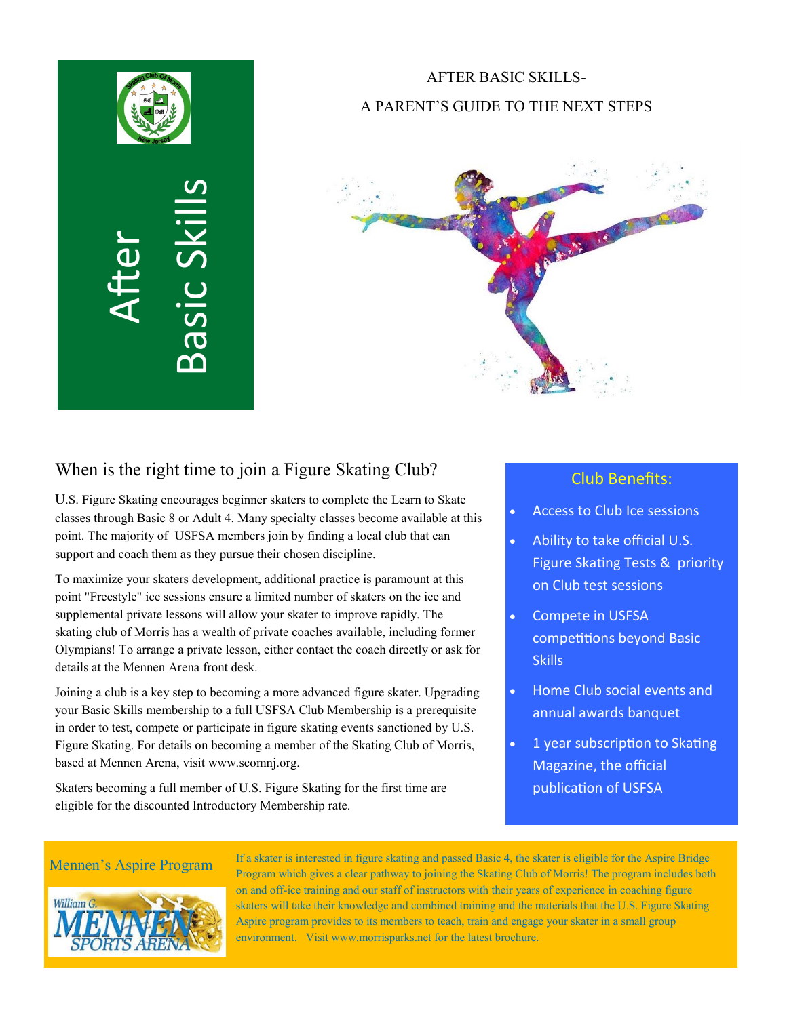

# AFTER BASIC SKILLS-A PARENT'S GUIDE TO THE NEXT STEPS



## When is the right time to join a Figure Skating Club?

U.S. Figure Skating encourages beginner skaters to complete the Learn to Skate classes through Basic 8 or Adult 4. Many specialty classes become available at this point. The majority of USFSA members join by finding a local club that can support and coach them as they pursue their chosen discipline.

To maximize your skaters development, additional practice is paramount at this point "Freestyle" ice sessions ensure a limited number of skaters on the ice and supplemental private lessons will allow your skater to improve rapidly. The skating club of Morris has a wealth of private coaches available, including former Olympians! To arrange a private lesson, either contact the coach directly or ask for details at the Mennen Arena front desk.

Joining a club is a key step to becoming a more advanced figure skater. Upgrading your Basic Skills membership to a full USFSA Club Membership is a prerequisite in order to test, compete or participate in figure skating events sanctioned by U.S. Figure Skating. For details on becoming a member of the Skating Club of Morris, based at Mennen Arena, visit www.scomnj.org.

Skaters becoming a full member of U.S. Figure Skating for the first time are eligible for the discounted Introductory Membership rate.

### Club Benefits:

- Access to Club Ice sessions
- Ability to take official U.S. Figure Skating Tests & priority on Club test sessions
- Compete in USFSA competitions beyond Basic **Skills**
- Home Club social events and annual awards banquet
- 1 year subscription to Skating Magazine, the official publication of USFSA



Mennen's Aspire Program If a skater is interested in figure skating and passed Basic 4, the skater is eligible for the Aspire Bridge Program which gives a clear pathway to joining the Skating Club of Morris! The program includes both on and off-ice training and our staff of instructors with their years of experience in coaching figure skaters will take their knowledge and combined training and the materials that the U.S. Figure Skating Aspire program provides to its members to teach, train and engage your skater in a small group environment. Visit www.morrisparks.net for the latest brochure.